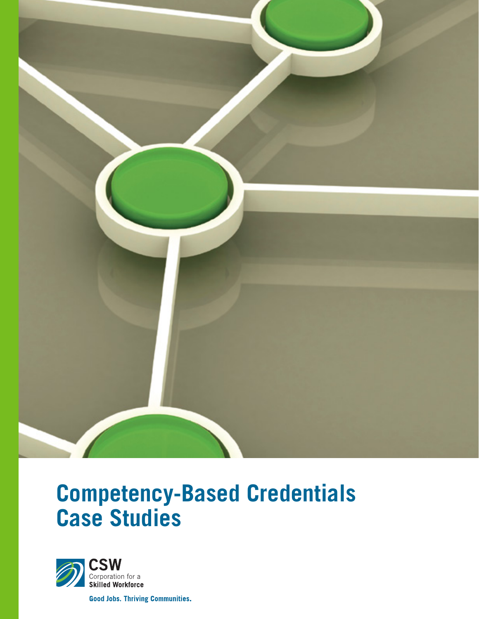

# **Competency-Based Credentials Case Studies**



**Good Jobs. Thriving Communities.**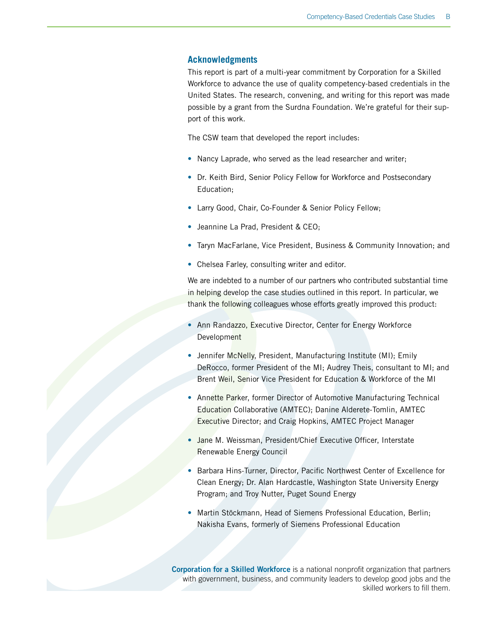#### **Acknowledgments**

This report is part of a multi-year commitment by Corporation for a Skilled Workforce to advance the use of quality competency-based credentials in the United States. The research, convening, and writing for this report was made possible by a grant from the Surdna Foundation. We're grateful for their support of this work.

The CSW team that developed the report includes:

- Nancy Laprade, who served as the lead researcher and writer;
- Dr. Keith Bird, Senior Policy Fellow for Workforce and Postsecondary Education;
- Larry Good, Chair, Co-Founder & Senior Policy Fellow;
- Jeannine La Prad, President & CEO;
- Taryn MacFarlane, Vice President, Business & Community Innovation; and
- Chelsea Farley, consulting writer and editor.

We are indebted to a number of our partners who contributed substantial time in helping develop the case studies outlined in this report. In particular, we thank the following colleagues whose efforts greatly improved this product:

- Ann Randazzo, Executive Director, Center for Energy Workforce Development
- Jennifer McNelly, President, Manufacturing Institute (MI); Emily DeRocco, former President of the MI; Audrey Theis, consultant to MI; and Brent Weil, Senior Vice President for Education & Workforce of the MI
- Annette Parker, former Director of Automotive Manufacturing Technical Education Collaborative (AMTEC); Danine Alderete-Tomlin, AMTEC Executive Director; and Craig Hopkins, AMTEC Project Manager
- Jane M. Weissman, President/Chief Executive Officer, Interstate Renewable Energy Council
- Barbara Hins-Turner, Director, Pacific Northwest Center of Excellence for Clean Energy; Dr. Alan Hardcastle, Washington State University Energy Program; and Troy Nutter, Puget Sound Energy
- Martin Stöckmann, Head of Siemens Professional Education, Berlin; Nakisha Evans, formerly of Siemens Professional Education

Corporation for a Skilled Workforce is a national nonprofit organization that partners with government, business, and community leaders to develop good jobs and the skilled workers to fill them.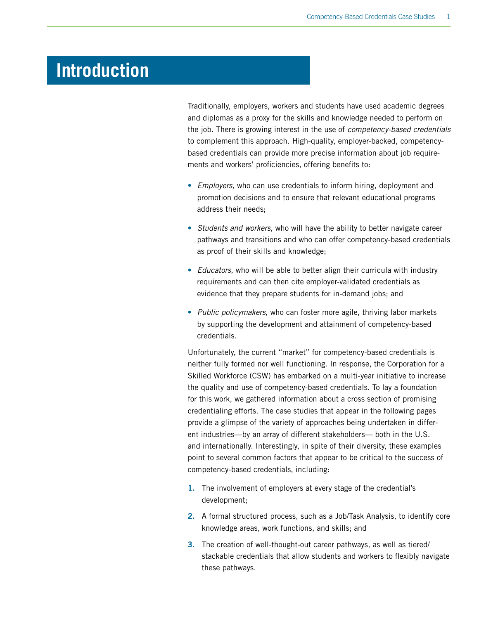## **Introduction**

Traditionally, employers, workers and students have used academic degrees and diplomas as a proxy for the skills and knowledge needed to perform on the job. There is growing interest in the use of *competency-based credentials* to complement this approach. High-quality, employer-backed, competencybased credentials can provide more precise information about job requirements and workers' proficiencies, offering benefits to:

- *Employers,* who can use credentials to inform hiring, deployment and promotion decisions and to ensure that relevant educational programs address their needs;
- *Students and workers,* who will have the ability to better navigate career pathways and transitions and who can offer competency-based credentials as proof of their skills and knowledge;
- *Educators,* who will be able to better align their curricula with industry requirements and can then cite employer-validated credentials as evidence that they prepare students for in-demand jobs; and
- *Public policymakers,* who can foster more agile, thriving labor markets by supporting the development and attainment of competency-based credentials.

Unfortunately, the current "market" for competency-based credentials is neither fully formed nor well functioning. In response, the Corporation for a Skilled Workforce (CSW) has embarked on a multi-year initiative to increase the quality and use of competency-based credentials. To lay a foundation for this work, we gathered information about a cross section of promising credentialing efforts. The case studies that appear in the following pages provide a glimpse of the variety of approaches being undertaken in different industries—by an array of different stakeholders— both in the U.S. and internationally. Interestingly, in spite of their diversity, these examples point to several common factors that appear to be critical to the success of competency-based credentials, including:

- 1. The involvement of employers at every stage of the credential's development;
- 2. A formal structured process, such as a Job/Task Analysis, to identify core knowledge areas, work functions, and skills; and
- 3. The creation of well-thought-out career pathways, as well as tiered/ stackable credentials that allow students and workers to flexibly navigate these pathways.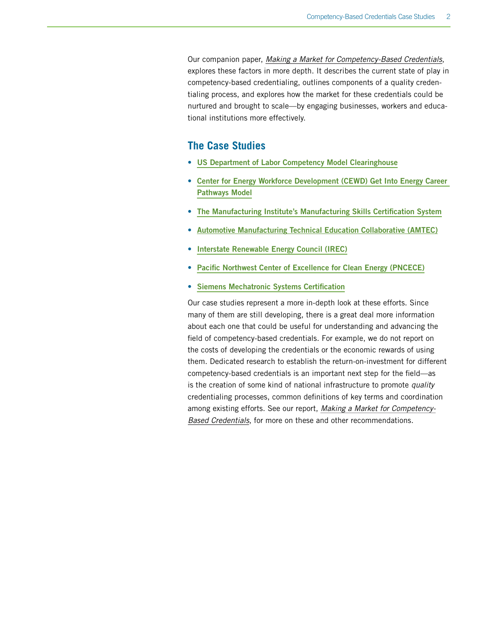Our companion paper, *[Making a Market for Competency-Based Credentials](http://www.skilledwork.org/resources/new-report-making-a-market-competency-based-credentials)*, explores these factors in more depth. It describes the current state of play in competency-based credentialing, outlines components of a quality credentialing process, and explores how the market for these credentials could be nurtured and brought to scale—by engaging businesses, workers and educational institutions more effectively.

## **The Case Studies**

- [US Department of Labor Competency Model Clearinghouse](#page-4-0)
- [Center for Energy Workforce Development \(CEWD\) Get Into Energy Career](#page-6-0)  [Pathways Model](#page-6-0)
- [The Manufacturing Institute's Manufacturing Skills Certification System](#page-8-0)
- [Automotive Manufacturing Technical Education Collaborative \(AMTEC\)](#page-11-0)
- [Interstate Renewable Energy Council \(IREC\)](#page-13-0)
- [Pacific Northwest Center of Excellence for Clean Energy \(PNCECE\)](#page-15-0)
- [Siemens Mechatronic Systems Certification](#page-17-0)

Our case studies represent a more in-depth look at these efforts. Since many of them are still developing, there is a great deal more information about each one that could be useful for understanding and advancing the field of competency-based credentials. For example, we do not report on the costs of developing the credentials or the economic rewards of using them. Dedicated research to establish the return-on-investment for different competency-based credentials is an important next step for the field—as is the creation of some kind of national infrastructure to promote *quality* credentialing processes, common definitions of key terms and coordination among existing efforts. See our report, *[Making a Market for Competency-](http://www.skilledwork.org/resources/new-report-making-a-market-competency-based-credentials)[Based Credentials](http://www.skilledwork.org/resources/new-report-making-a-market-competency-based-credentials)*, for more on these and other recommendations.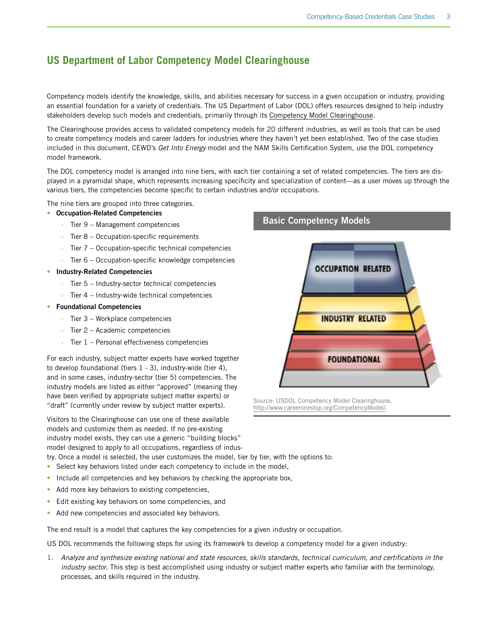## <span id="page-4-0"></span>**US Department of Labor Competency Model Clearinghouse**

Competency models identify the knowledge, skills, and abilities necessary for success in a given occupation or industry, providing an essential foundation for a variety of credentials. The US Department of Labor (DOL) offers resources designed to help industry stakeholders develop such models and credentials, primarily through its [Competency Model Clearinghouse.](http://www.careeronestop.org/CompetencyModel/)

The Clearinghouse provides access to validated competency models for 20 different industries, as well as tools that can be used to create competency models and career ladders for industries where they haven't yet been established. Two of the case studies included in this document, CEWD's *Get Into Energy* model and the NAM Skills Certification System, use the DOL competency model framework.

The DOL competency model is arranged into nine tiers, with each tier containing a set of related competencies. The tiers are displayed in a pyramidal shape, which represents increasing specificity and specialization of content—as a user moves up through the various tiers, the competencies become specific to certain industries and/or occupations.

The nine tiers are grouped into three categories.

#### • Occupation-Related Competencies

- $\rightarrow$  Tier 9 Management competencies
- $\rightarrow$  Tier 8 Occupation-specific requirements
- $\rightarrow$  Tier 7 Occupation-specific technical competencies
- $\overline{\phantom{a}}$  Tier 6 Occupation-specific knowledge competencies
- Industry-Related Competencies
	- $\rightarrow$  Tier 5 Industry-sector technical competencies
	- $\rightarrow$  Tier 4 Industry-wide technical competencies
- Foundational Competencies
	- $\rightarrow$  Tier 3 Workplace competencies
	- $\rightarrow$  Tier 2 Academic competencies
	- $\rightarrow$  Tier 1 Personal effectiveness competencies

For each industry, subject matter experts have worked together to develop foundational (tiers 1 - 3), industry-wide (tier 4), and in some cases, industry-sector (tier 5) competencies. The industry models are listed as either "approved" (meaning they have been verified by appropriate subject matter experts) or "draft" (currently under review by subject matter experts).

Visitors to the Clearinghouse can use one of these available models and customize them as needed. If no pre-existing industry model exists, they can use a generic "building blocks" model designed to apply to all occupations, regardless of indus-

try. Once a model is selected, the user customizes the model, tier by tier, with the options to:

- Select key behaviors listed under each competency to include in the model,
- Include all competencies and key behaviors by checking the appropriate box,
- Add more key behaviors to existing competencies,
- Edit existing key behaviors on some competencies, and
- Add new competencies and associated key behaviors.

The end result is a model that captures the key competencies for a given industry or occupation.

US DOL recommends the following steps for using its framework to develop a competency model for a given industry:

1. *Analyze and synthesize existing national and state resources, skills standards, technical curriculum, and certifications in the industry sector.* This step is best accomplished using industry or subject matter experts who familiar with the terminology, processes, and skills required in the industry.

## Basic Competency Models



Source: USDOL Competency Model Clearinghouse, <http://www.careeronestop.org/CompetencyModel/>.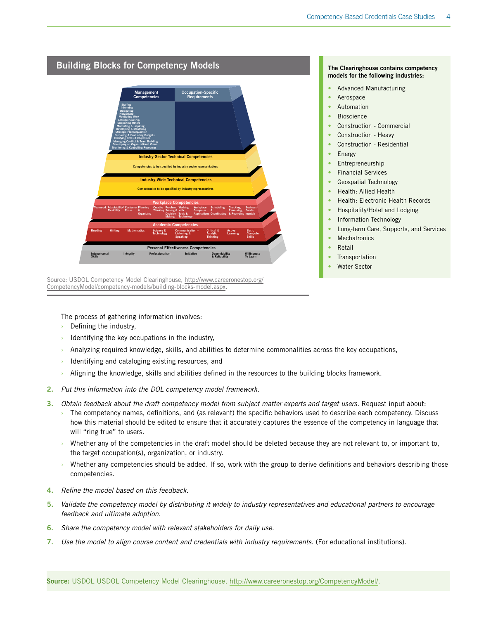

The process of gathering information involves:

- $\rightarrow$  Defining the industry,
- Identifying the key occupations in the industry,
- › Analyzing required knowledge, skills, and abilities to determine commonalities across the key occupations,
- Identifying and cataloging existing resources, and
- Aligning the knowledge, skills and abilities defined in the resources to the building blocks framework.
- 2. *Put this information into the DOL competency model framework.*
- 3. *Obtain feedback about the draft competency model from subject matter experts and target users.* Request input about:
	- › The competency names, definitions, and (as relevant) the specific behaviors used to describe each competency. Discuss how this material should be edited to ensure that it accurately captures the essence of the competency in language that will "ring true" to users.
	- Whether any of the competencies in the draft model should be deleted because they are not relevant to, or important to, the target occupation(s), organization, or industry.
	- Whether any competencies should be added. If so, work with the group to derive definitions and behaviors describing those competencies.
- 4. *Refine the model based on this feedback.*
- 5. *Validate the competency model by distributing it widely to industry representatives and educational partners to encourage feedback and ultimate adoption.*
- 6. *Share the competency model with relevant stakeholders for daily use.*
- 7. Use the model to align course content and credentials with industry requirements. (For educational institutions).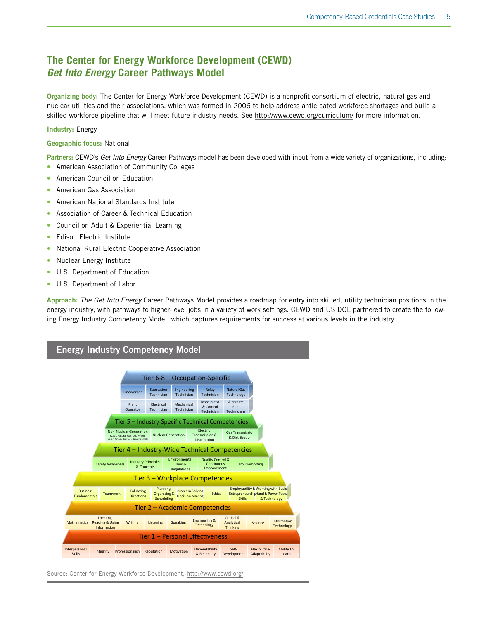## <span id="page-6-0"></span>**The Center for Energy Workforce Development (CEWD)**  *Get Into Energy* **Career Pathways Model**

Organizing body: The Center for Energy Workforce Development (CEWD) is a nonprofit consortium of electric, natural gas and nuclear utilities and their associations, which was formed in 2006 to help address anticipated workforce shortages and build a skilled workforce pipeline that will meet future industry needs. See <http://www.cewd.org/curriculum/>for more information.

#### Industry: Energy

#### Geographic focus: National

Partners: CEWD's *Get Into Energy* Career Pathways model has been developed with input from a wide variety of organizations, including: • American Association of Community Colleges

- American Council on Education
- American Gas Association
- American National Standards Institute
- Association of Career & Technical Education
- Council on Adult & Experiential Learning
- Edison Electric Institute
- National Rural Electric Cooperative Association
- Nuclear Energy Institute
- U.S. Department of Education
- U.S. Department of Labor

Approach: *The Get Into Energy* Career Pathways Model provides a roadmap for entry into skilled, utility technician positions in the energy industry, with pathways to higher-level jobs in a variety of work settings. CEWD and US DOL partnered to create the following Energy Industry Competency Model, which captures requirements for success at various levels in the industry.

#### Energy Industry Competency Model Plant Operator Electrical Technician Mechanical Technician Instrument & Control Technician Alternate Fuel Technicians Lineworker Substation **Technician** Engineering **Technician** Relay **Technician** Natural Gas logy Business Fundamentals Teamwork Following Directions Planning, Organizing& Scheduling **Problem Solving Ethics**<br>**Decision Making** Ethics Employability & Working with Basic Entrep **Skills** Hand&Power Tools & Technology Mathematics Reading & Using Locating, Information Writing Listening Speaking Engineering & **Technology** Critical & Analytical **Thinking** Science Information **Technology** Interpersonal Integrity Professionalism Reputation Motivation Dependability & Reliability Self-Developme Flexibility & Adaptability Ability To Learn Non-Nuclear Generation (Coal, Natural Gas, Oil, Hydro, Solar, Wind, BioFuel, Geothermal) Nuclear Generation Electric on & Distribution **Gas Transmis** & Distril Tier 5 – Industry-Specific Technical Competencies Safety Awareness Industry Principles & Concepts Environmental Laws & **Regulations** Quality Control & Continuous Continuous Troubleshooting<br>Improvement Tier 4 – Industry-Wide Technical Competencies Tier 3 – Workplace Competencies Tier 2 – Academic Competencies Tier 1 – Personal Effectiveness Tier 6-8 – Occupation-Specific

Source: Center for Energy Workforce Development, [http://www.cewd.org/.](http://www.cewd.org/)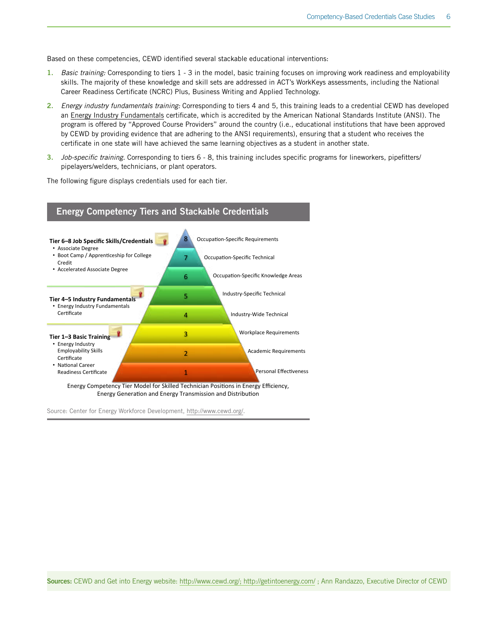Based on these competencies, CEWD identified several stackable educational interventions:

- 1. *Basic training:* Corresponding to tiers 1 3 in the model, basic training focuses on improving work readiness and employability skills. The majority of these knowledge and skill sets are addressed in ACT's WorkKeys assessments, including the National Career Readiness Certificate (NCRC) Plus, Business Writing and Applied Technology.
- 2. *Energy industry fundamentals training:* Corresponding to tiers 4 and 5, this training leads to a credential CEWD has developed an [Energy Industry Fundamentals](http://www.cewd.org/curriculum/about-the-eif-certificate.php) certificate, which is accredited by the American National Standards Institute (ANSI). The program is offered by "Approved Course Providers" around the country (i.e., educational institutions that have been approved by CEWD by providing evidence that are adhering to the ANSI requirements), ensuring that a student who receives the certificate in one state will have achieved the same learning objectives as a student in another state.
- 3. *Job-specific training.* Corresponding to tiers 6 8, this training includes specific programs for lineworkers, pipefitters/ pipelayers/welders, technicians, or plant operators.

The following figure displays credentials used for each tier.



Source: Center for Energy Workforce Development, [http://www.cewd.org/.](http://www.cewd.org/)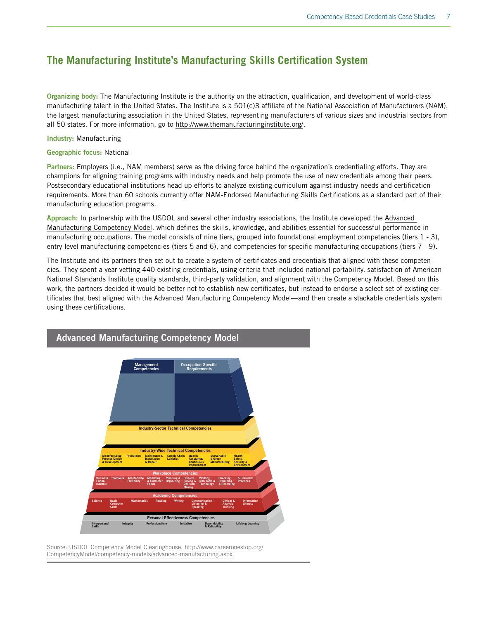## <span id="page-8-0"></span>**The Manufacturing Institute's Manufacturing Skills Certification System**

Organizing body: The Manufacturing Institute is the authority on the attraction, qualification, and development of world-class manufacturing talent in the United States. The Institute is a 501(c)3 affiliate of the National Association of Manufacturers (NAM), the largest manufacturing association in the United States, representing manufacturers of various sizes and industrial sectors from all 50 states. For more information, go to [http://www.themanufacturinginstitute.org/.](http://www.themanufacturinginstitute.org/)

Industry: Manufacturing

Geographic focus: National

Partners: Employers (i.e., NAM members) serve as the driving force behind the organization's credentialing efforts. They are champions for aligning training programs with industry needs and help promote the use of new credentials among their peers. Postsecondary educational institutions head up efforts to analyze existing curriculum against industry needs and certification requirements. More than 60 schools currently offer NAM-Endorsed Manufacturing Skills Certifications as a standard part of their manufacturing education programs.

Approach: In partnership with the USDOL and several other industry associations, the Institute developed the [Advanced](http://www.careeronestop.org/CompetencyModel/pyramid.aspx?HG=Y)  [Manufacturing Competency Model](http://www.careeronestop.org/CompetencyModel/pyramid.aspx?HG=Y), which defines the skills, knowledge, and abilities essential for successful performance in manufacturing occupations. The model consists of nine tiers, grouped into foundational employment competencies (tiers 1 - 3), entry-level manufacturing competencies (tiers 5 and 6), and competencies for specific manufacturing occupations (tiers 7 - 9).

The Institute and its partners then set out to create a system of certificates and credentials that aligned with these competencies. They spent a year vetting 440 existing credentials, using criteria that included national portability, satisfaction of American National Standards Institute quality standards, third-party validation, and alignment with the Competency Model. Based on this work, the partners decided it would be better not to establish new certificates, but instead to endorse a select set of existing certificates that best aligned with the Advanced Manufacturing Competency Model—and then create a stackable credentials system using these certifications.



Source: USDOL Competency Model Clearinghouse, [http://www.careeronestop.org/](http://www.careeronestop.org/CompetencyModel/competency-models/advanced-manufacturing.aspx) [CompetencyModel/competency-models/advanced-manufacturing.aspx](http://www.careeronestop.org/CompetencyModel/competency-models/advanced-manufacturing.aspx).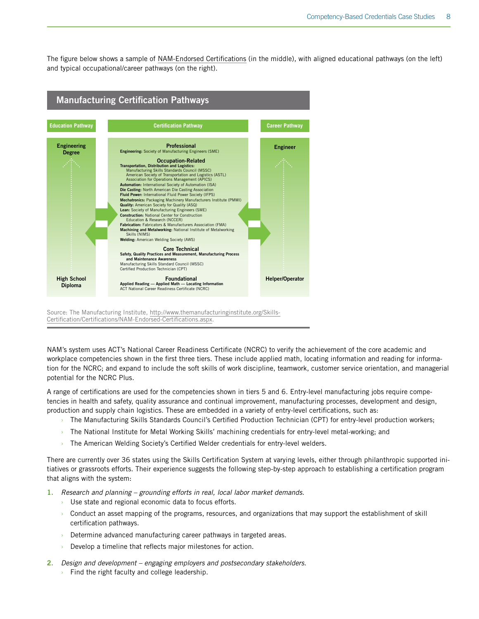The figure below shows a sample of [NAM-Endorsed Certifications](http://www.themanufacturinginstitute.org/Skills-Certification/Certifications/NAM-Endorsed-Certifications.aspx) (in the middle), with aligned educational pathways (on the left) and typical occupational/career pathways (on the right).



Source: The Manufacturing Institute, [http://www.themanufacturinginstitute.org/Skills-](http://www.themanufacturinginstitute.org/Skills-Certification/Certifications/NAM-Endorsed-Certifications.aspx)[Certification/Certifications/NAM-Endorsed-Certifications.aspx](http://www.themanufacturinginstitute.org/Skills-Certification/Certifications/NAM-Endorsed-Certifications.aspx).

NAM's system uses ACT's National Career Readiness Certificate (NCRC) to verify the achievement of the core academic and workplace competencies shown in the first three tiers. These include applied math, locating information and reading for information for the NCRC; and expand to include the soft skills of work discipline, teamwork, customer service orientation, and managerial potential for the NCRC Plus.

A range of certifications are used for the competencies shown in tiers 5 and 6. Entry-level manufacturing jobs require competencies in health and safety, quality assurance and continual improvement, manufacturing processes, development and design, production and supply chain logistics. These are embedded in a variety of entry-level certifications, such as:

- › The Manufacturing Skills Standards Council's Certified Production Technician (CPT) for entry-level production workers;
- › The National Institute for Metal Working Skills' machining credentials for entry-level metal-working; and
- The American Welding Society's Certified Welder credentials for entry-level welders.

There are currently over 36 states using the Skills Certification System at varying levels, either through philanthropic supported initiatives or grassroots efforts. Their experience suggests the following step-by-step approach to establishing a certification program that aligns with the system:

1. *Research and planning – grounding efforts in real, local labor market demands.*

- Use state and regional economic data to focus efforts.
- › Conduct an asset mapping of the programs, resources, and organizations that may support the establishment of skill certification pathways.
- Determine advanced manufacturing career pathways in targeted areas.
- Develop a timeline that reflects major milestones for action.
- 2. *Design and development engaging employers and postsecondary stakeholders.*
	- $\rightarrow$  Find the right faculty and college leadership.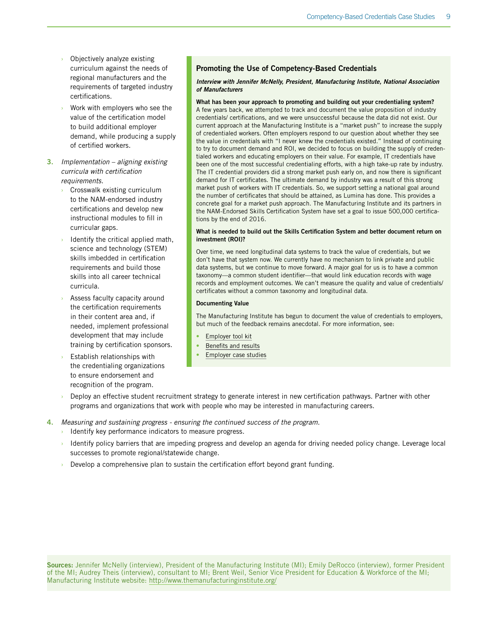- Objectively analyze existing curriculum against the needs of regional manufacturers and the requirements of targeted industry certifications.
- Work with employers who see the value of the certification model to build additional employer demand, while producing a supply of certified workers.
- 3. *Implementation aligning existing curricula with certification requirements.*
	- Crosswalk existing curriculum to the NAM-endorsed industry certifications and develop new instructional modules to fill in curricular gaps.
	- Identify the critical applied math, science and technology (STEM) skills imbedded in certification requirements and build those skills into all career technical curricula.
	- Assess faculty capacity around the certification requirements in their content area and, if needed, implement professional development that may include training by certification sponsors.
	- Establish relationships with the credentialing organizations to ensure endorsement and recognition of the program.

#### Promoting the Use of Competency-Based Credentials

#### *Interview with Jennifer McNelly, President, Manufacturing Institute, National Association of Manufacturers*

#### What has been your approach to promoting and building out your credentialing system?

A few years back, we attempted to track and document the value proposition of industry credentials/ certifications, and we were unsuccessful because the data did not exist. Our current approach at the Manufacturing Institute is a "market push" to increase the supply of credentialed workers. Often employers respond to our question about whether they see the value in credentials with "I never knew the credentials existed." Instead of continuing to try to document demand and ROI, we decided to focus on building the supply of credentialed workers and educating employers on their value. For example, IT credentials have been one of the most successful credentialing efforts, with a high take-up rate by industry. The IT credential providers did a strong market push early on, and now there is significant demand for IT certificates. The ultimate demand by industry was a result of this strong market push of workers with IT credentials. So, we support setting a national goal around the number of certificates that should be attained, as Lumina has done. This provides a concrete goal for a market push approach. The Manufacturing Institute and its partners in the NAM-Endorsed Skills Certification System have set a goal to issue 500,000 certifications by the end of 2016.

#### What is needed to build out the Skills Certification System and better document return on investment (ROI)?

Over time, we need longitudinal data systems to track the value of credentials, but we don't have that system now. We currently have no mechanism to link private and public data systems, but we continue to move forward. A major goal for us is to have a common taxonomy—a common student identifier—that would link education records with wage records and employment outcomes. We can't measure the quality and value of credentials/ certificates without a common taxonomy and longitudinal data.

#### Documenting Value

The Manufacturing Institute has begun to document the value of credentials to employers, but much of the feedback remains anecdotal. For more information, see:

- [Employer tool kit](http://www.themanufacturinginstitute.org/Skills-Certification/Employers/Employers.aspx)
- [Benefits and results](http://www.themanufacturinginstitute.org/~/media/1731D7E032CC499B84C7B78ACE26E418/Benefits_and_Results.pdf)
- **[Employer case studies](http://www.themanufacturinginstitute.org/Skills-Certification/Tools-and-Resources/Employer-Spotlights/Employer-Spotlights.aspx)**
- Deploy an effective student recruitment strategy to generate interest in new certification pathways. Partner with other programs and organizations that work with people who may be interested in manufacturing careers.
- 4. *Measuring and sustaining progress ensuring the continued success of the program.*
	- Identify key performance indicators to measure progress.
	- Identify policy barriers that are impeding progress and develop an agenda for driving needed policy change. Leverage local successes to promote regional/statewide change.
	- $\rightarrow$  Develop a comprehensive plan to sustain the certification effort beyond grant funding.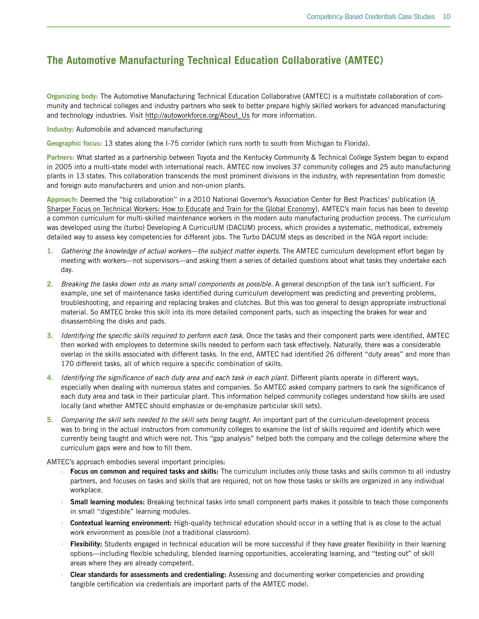## <span id="page-11-0"></span>**The Automotive Manufacturing Technical Education Collaborative (AMTEC)**

Organizing body: The Automotive Manufacturing Technical Education Collaborative (AMTEC) is a multistate collaboration of community and technical colleges and industry partners who seek to better prepare highly skilled workers for advanced manufacturing and technology industries. Visit [http://autoworkforce.org/About\\_Us](http://autoworkforce.org/About_Us) for more information.

Industry: Automobile and advanced manufacturing

Geographic focus: 13 states along the I-75 corridor (which runs north to south from Michigan to Florida).

Partners: What started as a partnership between Toyota and the Kentucky Community & Technical College System began to expand in 2005 into a multi-state model with international reach. AMTEC now involves 37 community colleges and 25 auto manufacturing plants in 13 states. This collaboration transcends the most prominent divisions in the industry, with representation from domestic and foreign auto manufacturers and union and non-union plants.

Approach: Deemed the "big collaboration" in a 2010 National Governor's Association Center for Best Practices' publication ([A](http://www.nga.org/files/live/sites/NGA/files/pdf/1007TECHNICALWORKERS.PDF)  [Sharper Focus on Technical Workers: How to Educate and Train for the Global Economy\)](http://www.nga.org/files/live/sites/NGA/files/pdf/1007TECHNICALWORKERS.PDF), AMTEC's main focus has been to develop a common curriculum for multi-skilled maintenance workers in the modern auto manufacturing production process. The curriculum was developed using the (turbo) Developing A CurriculUM (DACUM) process, which provides a systematic, methodical, extremely detailed way to assess key competencies for different jobs. The Turbo DACUM steps as described in the NGA report include:

- 1. *Gathering the knowledge of actual workers—the subject matter experts.* The AMTEC curriculum development effort began by meeting with workers—not supervisors—and asking them a series of detailed questions about what tasks they undertake each day.
- 2. *Breaking the tasks down into as many small components as possible.* A general description of the task isn't sufficient. For example, one set of maintenance tasks identified during curriculum development was predicting and preventing problems, troubleshooting, and repairing and replacing brakes and clutches. But this was too general to design appropriate instructional material. So AMTEC broke this skill into its more detailed component parts, such as inspecting the brakes for wear and disassembling the disks and pads.
- 3. *Identifying the specific skills required to perform each task.* Once the tasks and their component parts were identified, AMTEC then worked with employees to determine skills needed to perform each task effectively. Naturally, there was a considerable overlap in the skills associated with different tasks. In the end, AMTEC had identified 26 different "duty areas" and more than 170 different tasks, all of which require a specific combination of skills.
- 4. *Identifying the significance of each duty area and each task in each plant.* Different plants operate in different ways, especially when dealing with numerous states and companies. So AMTEC asked company partners to rank the significance of each duty area and task in their particular plant. This information helped community colleges understand how skills are used locally (and whether AMTEC should emphasize or de-emphasize particular skill sets).
- 5. *Comparing the skill sets needed to the skill sets being taught.* An important part of the curriculum-development process was to bring in the actual instructors from community colleges to examine the list of skills required and identify which were currently being taught and which were not. This "gap analysis" helped both the company and the college determine where the curriculum gaps were and how to fill them.

AMTEC's approach embodies several important principles:

- **Focus on common and required tasks and skills:** The curriculum includes only those tasks and skills common to all industry partners, and focuses on tasks and skills that are required, not on how those tasks or skills are organized in any individual workplace.
- **Small learning modules:** Breaking technical tasks into small component parts makes it possible to teach those components in small "digestible" learning modules.
- **Contextual learning environment:** High-quality technical education should occur in a setting that is as close to the actual work environment as possible (not a traditional classroom).
- **Flexibility:** Students engaged in technical education will be more successful if they have greater flexibility in their learning options—including flexible scheduling, blended learning opportunities, accelerating learning, and "testing out" of skill areas where they are already competent.
- Clear standards for assessments and credentialing: Assessing and documenting worker competencies and providing tangible certification via credentials are important parts of the AMTEC model.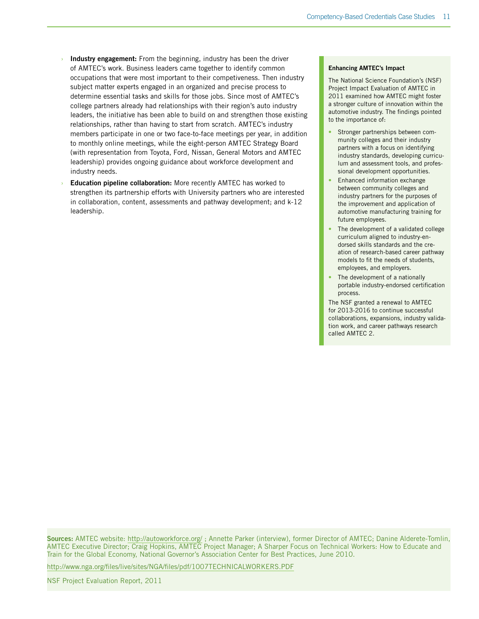- Industry engagement: From the beginning, industry has been the driver of AMTEC's work. Business leaders came together to identify common occupations that were most important to their competiveness. Then industry subject matter experts engaged in an organized and precise process to determine essential tasks and skills for those jobs. Since most of AMTEC's college partners already had relationships with their region's auto industry leaders, the initiative has been able to build on and strengthen those existing relationships, rather than having to start from scratch. AMTEC's industry members participate in one or two face-to-face meetings per year, in addition to monthly online meetings, while the eight-person AMTEC Strategy Board (with representation from Toyota, Ford, Nissan, General Motors and AMTEC leadership) provides ongoing guidance about workforce development and industry needs.
- **Education pipeline collaboration:** More recently AMTEC has worked to strengthen its partnership efforts with University partners who are interested in collaboration, content, assessments and pathway development; and k-12 leadership.

#### Enhancing AMTEC's Impact

The National Science Foundation's (NSF) Project Impact Evaluation of AMTEC in 2011 examined how AMTEC might foster a stronger culture of innovation within the automotive industry. The findings pointed to the importance of:

- Stronger partnerships between community colleges and their industry partners with a focus on identifying industry standards, developing curriculum and assessment tools, and professional development opportunities.
- Enhanced information exchange between community colleges and industry partners for the purposes of the improvement and application of automotive manufacturing training for future employees.
- The development of a validated college curriculum aligned to industry-endorsed skills standards and the creation of research-based career pathway models to fit the needs of students, employees, and employers.
- The development of a nationally portable industry-endorsed certification process.

The NSF granted a renewal to AMTEC for 2013-2016 to continue successful collaborations, expansions, industry validation work, and career pathways research called AMTEC 2.

Sources: AMTEC website:<http://autoworkforce.org/>; Annette Parker (interview), former Director of AMTEC; Danine Alderete-Tomlin, AMTEC Executive Director; Craig Hopkins, AMTEC Project Manager; A Sharper Focus on Technical Workers: How to Educate and Train for the Global Economy, National Governor's Association Center for Best Practices, June 2010.

<http://www.nga.org/files/live/sites/NGA/files/pdf/1007TECHNICALWORKERS.PDF>

NSF Project Evaluation Report, 2011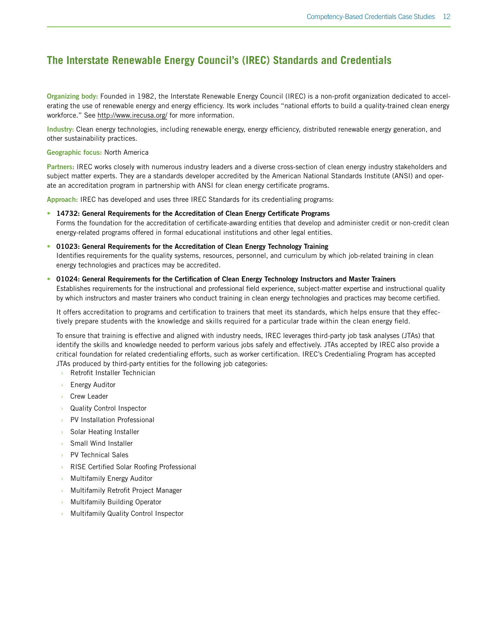## <span id="page-13-0"></span>**The Interstate Renewable Energy Council's (IREC) Standards and Credentials**

Organizing body: Founded in 1982, the Interstate Renewable Energy Council (IREC) is a non-profit organization dedicated to accelerating the use of renewable energy and energy efficiency. Its work includes "national efforts to build a quality-trained clean energy workforce." See <http://www.irecusa.org/>for more information.

Industry: Clean energy technologies, including renewable energy, energy efficiency, distributed renewable energy generation, and other sustainability practices.

Geographic focus: North America

Partners: IREC works closely with numerous industry leaders and a diverse cross-section of clean energy industry stakeholders and subject matter experts. They are a standards developer accredited by the American National Standards Institute (ANSI) and operate an accreditation program in partnership with ANSI for clean energy certificate programs.

Approach: IREC has developed and uses three IREC Standards for its credentialing programs:

- [14732: General Requirements for the Accreditation of Clean Energy Certificate Programs](http://www.irecusa.org/credentialing/key-docs/) Forms the foundation for the accreditation of certificate-awarding entities that develop and administer credit or non-credit clean energy-related programs offered in formal educational institutions and other legal entities.
- [01023: General Requirements for the Accreditation of Clean Energy Technology Training](http://www.irecusa.org/credentialing/key-docs/) Identifies requirements for the quality systems, resources, personnel, and curriculum by which job-related training in clean energy technologies and practices may be accredited.

#### • [01024: General Requirements for the Certification of Clean Energy Technology Instructors and Master Trainers](http://www.irecusa.org/credentialing/key-docs/)

Establishes requirements for the instructional and professional field experience, subject-matter expertise and instructional quality by which instructors and master trainers who conduct training in clean energy technologies and practices may become certified.

It offers accreditation to programs and certification to trainers that meet its standards, which helps ensure that they effectively prepare students with the knowledge and skills required for a particular trade within the clean energy field.

To ensure that training is effective and aligned with industry needs, IREC leverages third-party job task analyses (JTAs) that identify the skills and knowledge needed to perform various jobs safely and effectively. JTAs accepted by IREC also provide a critical foundation for related credentialing efforts, such as worker certification. IREC's Credentialing Program has accepted JTAs produced by third-party entities for the following job categories:

- Retrofit Installer Technician
- **Energy Auditor**
- **Crew Leader**
- › Quality Control Inspector
- PV Installation Professional
- › Solar Heating Installer
- › Small Wind Installer
- › PV Technical Sales
- › RISE Certified Solar Roofing Professional
- **Multifamily Energy Auditor**
- › Multifamily Retrofit Project Manager
- Multifamily Building Operator
- **Multifamily Quality Control Inspector**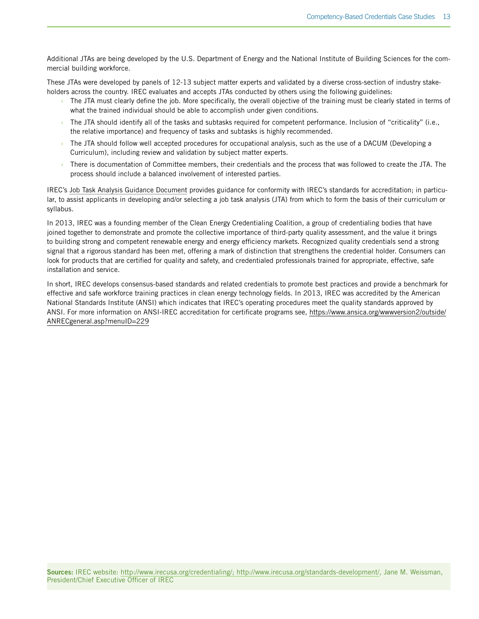Additional JTAs are being developed by the U.S. Department of Energy and the National Institute of Building Sciences for the commercial building workforce.

These JTAs were developed by panels of 12-13 subject matter experts and validated by a diverse cross-section of industry stakeholders across the country. IREC evaluates and accepts JTAs conducted by others using the following guidelines:

- $\rightarrow$  The JTA must clearly define the job. More specifically, the overall objective of the training must be clearly stated in terms of what the trained individual should be able to accomplish under given conditions.
- The JTA should identify all of the tasks and subtasks required for competent performance. Inclusion of "criticality" (i.e., the relative importance) and frequency of tasks and subtasks is highly recommended.
- $\rightarrow$  The JTA should follow well accepted procedures for occupational analysis, such as the use of a DACUM (Developing a Curriculum), including review and validation by subject matter experts.
- › There is documentation of Committee members, their credentials and the process that was followed to create the JTA. The process should include a balanced involvement of interested parties.

IREC's [Job Task Analysis Guidance Document](http://www.irecusa.org/credentialing/key-docs/) provides guidance for conformity with IREC's standards for accreditation; in particular, to assist applicants in developing and/or selecting a job task analysis (JTA) from which to form the basis of their curriculum or syllabus.

In 2013, IREC was a founding member of the Clean Energy Credentialing Coalition, a group of credentialing bodies that have joined together to demonstrate and promote the collective importance of third-party quality assessment, and the value it brings to building strong and competent renewable energy and energy efficiency markets. Recognized quality credentials send a strong signal that a rigorous standard has been met, offering a mark of distinction that strengthens the credential holder. Consumers can look for products that are certified for quality and safety, and credentialed professionals trained for appropriate, effective, safe installation and service.

In short, IREC develops consensus-based standards and related credentials to promote best practices and provide a benchmark for effective and safe workforce training practices in clean energy technology fields. In 2013, IREC was accredited by the American National Standards Institute (ANSI) which indicates that IREC's operating procedures meet the quality standards approved by ANSI. For more information on ANSI-IREC accreditation for certificate programs see, [https://www.ansica.org/wwwversion2/outside/](https://www.ansica.org/wwwversion2/outside/ANRECgeneral.asp?menuID=229) [ANRECgeneral.asp?menuID=229](https://www.ansica.org/wwwversion2/outside/ANRECgeneral.asp?menuID=229)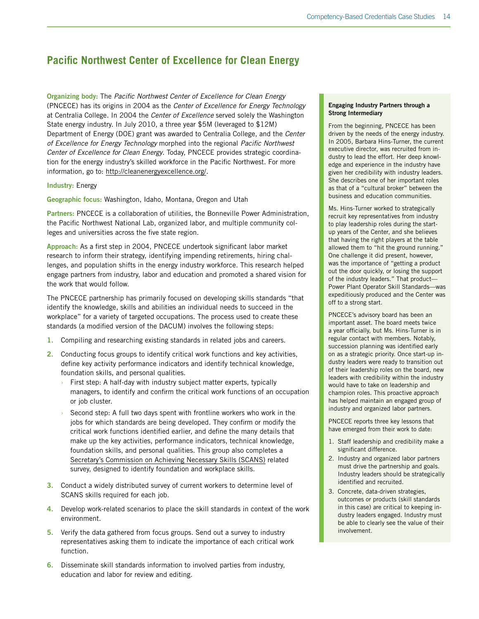## <span id="page-15-0"></span>**Pacific Northwest Center of Excellence for Clean Energy**

Organizing body: The *Pacific Northwest Center of Excellence for Clean Energy* (PNCECE) has its origins in 2004 as the *Center of Excellence for Energy Technology* at Centralia College. In 2004 the *Center of Excellence* served solely the Washington State energy industry. In July 2010, a three year \$5M (leveraged to \$12M) Department of Energy (DOE) grant was awarded to Centralia College, and the *Center of Excellence for Energy Technology* morphed into the regional *Pacific Northwest Center of Excellence for Clean Energy*. Today, PNCECE provides strategic coordination for the energy industry's skilled workforce in the Pacific Northwest. For more information, go to: [http://cleanenergyexcellence.org/.](http://cleanenergyexcellence.org/)

#### Industry: Energy

Geographic focus: Washington, Idaho, Montana, Oregon and Utah

Partners: PNCECE is a collaboration of utilities, the Bonneville Power Administration, the Pacific Northwest National Lab, organized labor, and multiple community colleges and universities across the five state region.

Approach: As a first step in 2004, PNCECE undertook significant labor market research to inform their strategy, identifying impending retirements, hiring challenges, and population shifts in the energy industry workforce. This research helped engage partners from industry, labor and education and promoted a shared vision for the work that would follow.

The PNCECE partnership has primarily focused on developing skills standards "that identify the knowledge, skills and abilities an individual needs to succeed in the workplace" for a variety of targeted occupations. The process used to create these standards (a modified version of the DACUM) involves the following steps:

- 1. Compiling and researching existing standards in related jobs and careers.
- 2. Conducting focus groups to identify critical work functions and key activities, define key activity performance indicators and identify technical knowledge, foundation skills, and personal qualities.
	- First step: A half-day with industry subject matter experts, typically managers, to identify and confirm the critical work functions of an occupation or job cluster.
	- Second step: A full two days spent with frontline workers who work in the jobs for which standards are being developed. They confirm or modify the critical work functions identified earlier, and define the many details that make up the key activities, performance indicators, technical knowledge, foundation skills, and personal qualities. This group also completes a [Secretary's Commission on Achieving Necessary Skills \(SCANS\)](http://www.academicinnovations.com/report.html) related survey, designed to identify foundation and workplace skills.
- 3. Conduct a widely distributed survey of current workers to determine level of SCANS skills required for each job.
- 4. Develop work-related scenarios to place the skill standards in context of the work environment.
- 5. Verify the data gathered from focus groups. Send out a survey to industry representatives asking them to indicate the importance of each critical work function.
- 6. Disseminate skill standards information to involved parties from industry, education and labor for review and editing.

#### Engaging Industry Partners through a Strong Intermediary

From the beginning, PNCECE has been driven by the needs of the energy industry. In 2005, Barbara Hins-Turner, the current executive director, was recruited from industry to lead the effort. Her deep knowledge and experience in the industry have given her credibility with industry leaders. She describes one of her important roles as that of a "cultural broker" between the business and education communities.

Ms. Hins-Turner worked to strategically recruit key representatives from industry to play leadership roles during the startup years of the Center, and she believes that having the right players at the table allowed them to "hit the ground running." One challenge it did present, however, was the importance of "getting a product out the door quickly, or losing the support of the industry leaders." That product— Power Plant Operator Skill Standards—was expeditiously produced and the Center was off to a strong start.

PNCECE's advisory board has been an important asset. The board meets twice a year officially, but Ms. Hins-Turner is in regular contact with members. Notably, succession planning was identified early on as a strategic priority. Once start-up industry leaders were ready to transition out of their leadership roles on the board, new leaders with credibility within the industry would have to take on leadership and champion roles. This proactive approach has helped maintain an engaged group of industry and organized labor partners.

PNCECE reports three key lessons that have emerged from their work to date:

- 1. Staff leadership and credibility make a significant difference.
- 2. Industry and organized labor partners must drive the partnership and goals. Industry leaders should be strategically identified and recruited.
- 3. Concrete, data-driven strategies, outcomes or products (skill standards in this case) are critical to keeping industry leaders engaged. Industry must be able to clearly see the value of their involvement.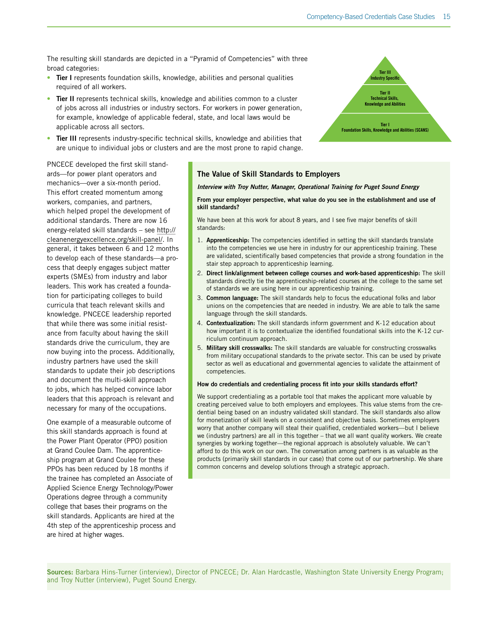The resulting skill standards are depicted in a "Pyramid of Competencies" with three broad categories:

- Tier I represents foundation skills, knowledge, abilities and personal qualities required of all workers.
- Tier II represents technical skills, knowledge and abilities common to a cluster of jobs across all industries or industry sectors. For workers in power generation, for example, knowledge of applicable federal, state, and local laws would be applicable across all sectors.
- Tier III represents industry-specific technical skills, knowledge and abilities that are unique to individual jobs or clusters and are the most prone to rapid change.

PNCECE developed the first skill standards—for power plant operators and mechanics—over a six-month period. This effort created momentum among workers, companies, and partners, which helped propel the development of additional standards. There are now 16 energy-related skill standards – see [http://](http://cleanenergyexcellence.org/skill-panel/) [cleanenergyexcellence.org/skill-panel/.](http://cleanenergyexcellence.org/skill-panel/) In general, it takes between 6 and 12 months to develop each of these standards—a process that deeply engages subject matter experts (SMEs) from industry and labor leaders. This work has created a foundation for participating colleges to build curricula that teach relevant skills and knowledge. PNCECE leadership reported that while there was some initial resistance from faculty about having the skill standards drive the curriculum, they are now buying into the process. Additionally, industry partners have used the skill standards to update their job descriptions and document the multi-skill approach to jobs, which has helped convince labor leaders that this approach is relevant and necessary for many of the occupations.

One example of a measurable outcome of this skill standards approach is found at the Power Plant Operator (PPO) position at Grand Coulee Dam. The apprenticeship program at Grand Coulee for these PPOs has been reduced by 18 months if the trainee has completed an Associate of Applied Science Energy Technology/Power Operations degree through a community college that bases their programs on the skill standards. Applicants are hired at the 4th step of the apprenticeship process and are hired at higher wages.



#### *Interview with Troy Nutter, Manager, Operational Training for Puget Sound Energy*

#### From your employer perspective, what value do you see in the establishment and use of skill standards?

We have been at this work for about 8 years, and I see five major benefits of skill standards:

- 1. Apprenticeship: The competencies identified in setting the skill standards translate into the competencies we use here in industry for our apprenticeship training. These are validated, scientifically based competencies that provide a strong foundation in the stair step approach to apprenticeship learning.
- 2. Direct link/alignment between college courses and work-based apprenticeship: The skill standards directly tie the apprenticeship-related courses at the college to the same set of standards we are using here in our apprenticeship training.
- 3. Common language: The skill standards help to focus the educational folks and labor unions on the competencies that are needed in industry. We are able to talk the same language through the skill standards.
- 4. Contextualization: The skill standards inform government and K-12 education about how important it is to contextualize the identified foundational skills into the K-12 curriculum continuum approach.
- 5. Military skill crosswalks: The skill standards are valuable for constructing crosswalks from military occupational standards to the private sector. This can be used by private sector as well as educational and governmental agencies to validate the attainment of competencies.

#### How do credentials and credentialing process fit into your skills standards effort?

We support credentialing as a portable tool that makes the applicant more valuable by creating perceived value to both employers and employees. This value stems from the credential being based on an industry validated skill standard. The skill standards also allow for monetization of skill levels on a consistent and objective basis. Sometimes employers worry that another company will steal their qualified, credentialed workers—but I believe we (industry partners) are all in this together – that we all want quality workers. We create synergies by working together—the regional approach is absolutely valuable. We can't afford to do this work on our own. The conversation among partners is as valuable as the products (primarily skill standards in our case) that come out of our partnership. We share common concerns and develop solutions through a strategic approach.

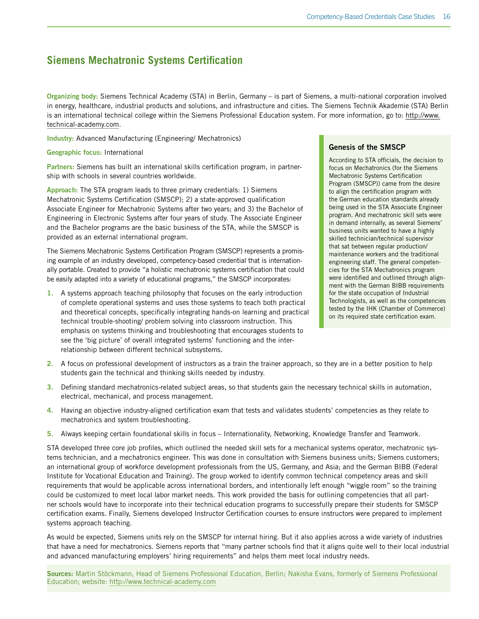## <span id="page-17-0"></span>**Siemens Mechatronic Systems Certification**

Organizing body: Siemens Technical Academy (STA) in Berlin, Germany – is part of Siemens, a multi-national corporation involved in energy, healthcare, industrial products and solutions, and infrastructure and cities. The Siemens Technik Akademie (STA) Berlin is an international technical college within the Siemens Professional Education system. For more information, go to: [http://www.](http://www.technical-academy.com) [technical-academy.com](http://www.technical-academy.com).

Industry: Advanced Manufacturing (Engineering/ Mechatronics)

Geographic focus: International

Partners: Siemens has built an international skills certification program, in partnership with schools in several countries worldwide.

Approach: The STA program leads to three primary credentials: 1) Siemens Mechatronic Systems Certification (SMSCP); 2) a state-approved qualification Associate Engineer for Mechatronic Systems after two years; and 3) the Bachelor of Engineering in Electronic Systems after four years of study. The Associate Engineer and the Bachelor programs are the basic business of the STA, while the SMSCP is provided as an external international program.

The Siemens Mechatronic Systems Certification Program (SMSCP) represents a promising example of an industry developed, competency-based credential that is internationally portable. Created to provide "a holistic mechatronic systems certification that could be easily adapted into a variety of educational programs," the SMSCP incorporates:

1. A systems approach teaching philosophy that focuses on the early introduction of complete operational systems and uses those systems to teach both practical and theoretical concepts, specifically integrating hands-on learning and practical technical trouble-shooting/ problem solving into classroom instruction. This emphasis on systems thinking and troubleshooting that encourages students to see the 'big picture' of overall integrated systems' functioning and the interrelationship between different technical subsystems.

#### Genesis of the SMSCP

According to STA officials, the decision to focus on Mechatronics (for the Siemens Mechatronic Systems Certification Program (SMSCP)) came from the desire to align the certification program with the German education standards already being used in the STA Associate Engineer program. And mechatronic skill sets were in demand internally, as several Siemens' business units wanted to have a highly skilled technician/technical supervisor that sat between regular production/ maintenance workers and the traditional engineering staff. The general competencies for the STA Mechatronics program were identified and outlined through alignment with the German BIBB requirements for the state occupation of Industrial Technologists, as well as the competencies tested by the IHK (Chamber of Commerce) on its required state certification exam.

- 2. A focus on professional development of instructors as a train the trainer approach, so they are in a better position to help students gain the technical and thinking skills needed by industry.
- 3. Defining standard mechatronics-related subject areas, so that students gain the necessary technical skills in automation, electrical, mechanical, and process management.
- 4. Having an objective industry-aligned certification exam that tests and validates students' competencies as they relate to mechatronics and system troubleshooting.
- 5. Always keeping certain foundational skills in focus Internationality, Networking, Knowledge Transfer and Teamwork.

STA developed three core job profiles, which outlined the needed skill sets for a mechanical systems operator, mechatronic systems technician, and a mechatronics engineer. This was done in consultation with Siemens business units; Siemens customers; an international group of workforce development professionals from the US, Germany, and Asia; and the German BIBB (Federal Institute for Vocational Education and Training). The group worked to identify common technical competency areas and skill requirements that would be applicable across international borders, and intentionally left enough "wiggle room" so the training could be customized to meet local labor market needs. This work provided the basis for outlining competencies that all partner schools would have to incorporate into their technical education programs to successfully prepare their students for SMSCP certification exams. Finally, Siemens developed Instructor Certification courses to ensure instructors were prepared to implement systems approach teaching.

As would be expected, Siemens units rely on the SMSCP for internal hiring. But it also applies across a wide variety of industries that have a need for mechatronics. Siemens reports that "many partner schools find that it aligns quite well to their local industrial and advanced manufacturing employers' hiring requirements" and helps them meet local industry needs.

Sources: Martin Stöckmann, Head of Siemens Professional Education, Berlin; Nakisha Evans, formerly of Siemens Professional Education; website: <http://www.technical-academy.com>